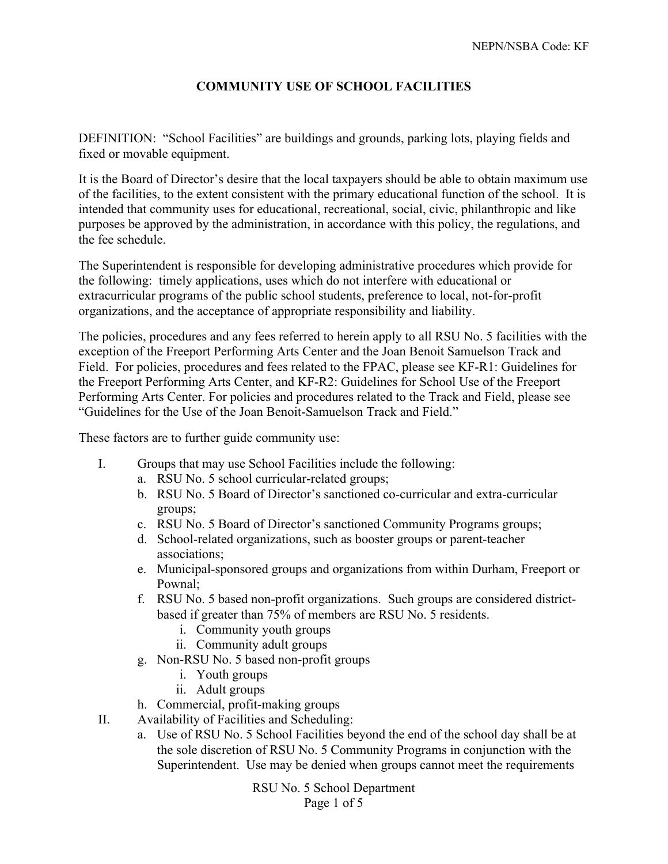## **COMMUNITY USE OF SCHOOL FACILITIES**

DEFINITION: "School Facilities" are buildings and grounds, parking lots, playing fields and fixed or movable equipment.

It is the Board of Director's desire that the local taxpayers should be able to obtain maximum use of the facilities, to the extent consistent with the primary educational function of the school. It is intended that community uses for educational, recreational, social, civic, philanthropic and like purposes be approved by the administration, in accordance with this policy, the regulations, and the fee schedule.

The Superintendent is responsible for developing administrative procedures which provide for the following: timely applications, uses which do not interfere with educational or extracurricular programs of the public school students, preference to local, not-for-profit organizations, and the acceptance of appropriate responsibility and liability.

The policies, procedures and any fees referred to herein apply to all RSU No. 5 facilities with the exception of the Freeport Performing Arts Center and the Joan Benoit Samuelson Track and Field. For policies, procedures and fees related to the FPAC, please see KF-R1: Guidelines for the Freeport Performing Arts Center, and KF-R2: Guidelines for School Use of the Freeport Performing Arts Center. For policies and procedures related to the Track and Field, please see "Guidelines for the Use of the Joan Benoit-Samuelson Track and Field."

These factors are to further guide community use:

- I. Groups that may use School Facilities include the following:
	- a. RSU No. 5 school curricular-related groups;
	- b. RSU No. 5 Board of Director's sanctioned co-curricular and extra-curricular groups;
	- c. RSU No. 5 Board of Director's sanctioned Community Programs groups;
	- d. School-related organizations, such as booster groups or parent-teacher associations;
	- e. Municipal-sponsored groups and organizations from within Durham, Freeport or Pownal;
	- f. RSU No. 5 based non-profit organizations. Such groups are considered districtbased if greater than 75% of members are RSU No. 5 residents.
		- i. Community youth groups
		- ii. Community adult groups
	- g. Non-RSU No. 5 based non-profit groups
		- i. Youth groups
		- ii. Adult groups

h. Commercial, profit-making groups

- II. Availability of Facilities and Scheduling:
	- a. Use of RSU No. 5 School Facilities beyond the end of the school day shall be at the sole discretion of RSU No. 5 Community Programs in conjunction with the Superintendent. Use may be denied when groups cannot meet the requirements

RSU No. 5 School Department Page 1 of 5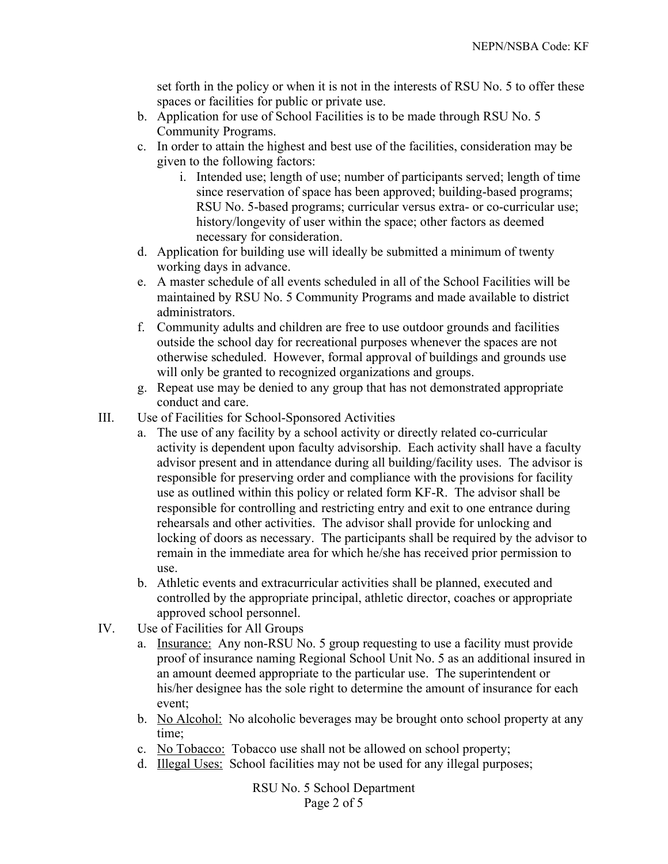set forth in the policy or when it is not in the interests of RSU No. 5 to offer these spaces or facilities for public or private use.

- b. Application for use of School Facilities is to be made through RSU No. 5 Community Programs.
- c. In order to attain the highest and best use of the facilities, consideration may be given to the following factors:
	- i. Intended use; length of use; number of participants served; length of time since reservation of space has been approved; building-based programs; RSU No. 5-based programs; curricular versus extra- or co-curricular use; history/longevity of user within the space; other factors as deemed necessary for consideration.
- d. Application for building use will ideally be submitted a minimum of twenty working days in advance.
- e. A master schedule of all events scheduled in all of the School Facilities will be maintained by RSU No. 5 Community Programs and made available to district administrators.
- f. Community adults and children are free to use outdoor grounds and facilities outside the school day for recreational purposes whenever the spaces are not otherwise scheduled. However, formal approval of buildings and grounds use will only be granted to recognized organizations and groups.
- g. Repeat use may be denied to any group that has not demonstrated appropriate conduct and care.
- III. Use of Facilities for School-Sponsored Activities
	- a. The use of any facility by a school activity or directly related co-curricular activity is dependent upon faculty advisorship. Each activity shall have a faculty advisor present and in attendance during all building/facility uses. The advisor is responsible for preserving order and compliance with the provisions for facility use as outlined within this policy or related form KF-R. The advisor shall be responsible for controlling and restricting entry and exit to one entrance during rehearsals and other activities. The advisor shall provide for unlocking and locking of doors as necessary. The participants shall be required by the advisor to remain in the immediate area for which he/she has received prior permission to use.
	- b. Athletic events and extracurricular activities shall be planned, executed and controlled by the appropriate principal, athletic director, coaches or appropriate approved school personnel.
- IV. Use of Facilities for All Groups
	- a. Insurance: Any non-RSU No. 5 group requesting to use a facility must provide proof of insurance naming Regional School Unit No. 5 as an additional insured in an amount deemed appropriate to the particular use. The superintendent or his/her designee has the sole right to determine the amount of insurance for each event;
	- b. No Alcohol: No alcoholic beverages may be brought onto school property at any time;
	- c. No Tobacco: Tobacco use shall not be allowed on school property;
	- d. Illegal Uses: School facilities may not be used for any illegal purposes;

RSU No. 5 School Department Page 2 of 5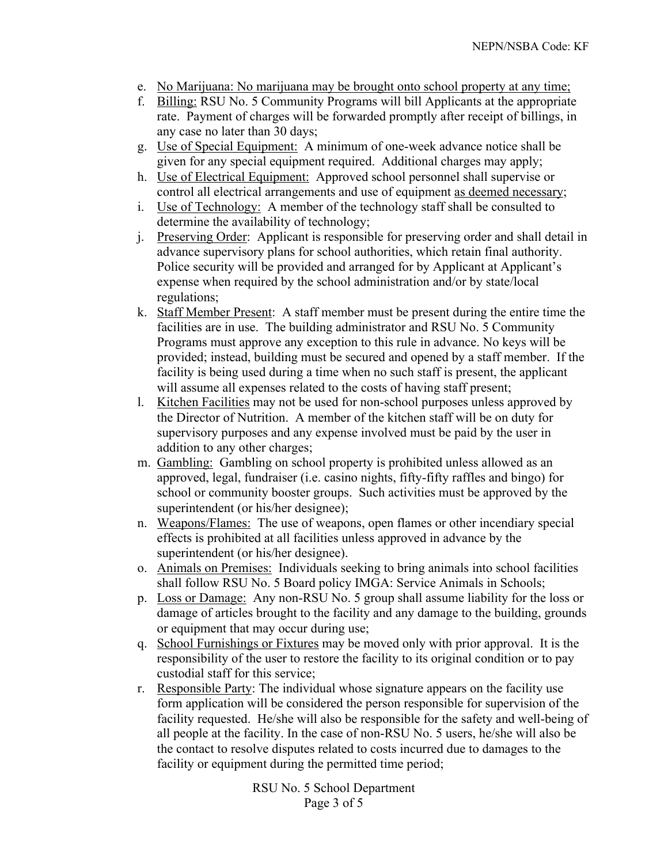- e. No Marijuana: No marijuana may be brought onto school property at any time;
- f. Billing: RSU No. 5 Community Programs will bill Applicants at the appropriate rate. Payment of charges will be forwarded promptly after receipt of billings, in any case no later than 30 days;
- g. Use of Special Equipment: A minimum of one-week advance notice shall be given for any special equipment required. Additional charges may apply;
- h. Use of Electrical Equipment: Approved school personnel shall supervise or control all electrical arrangements and use of equipment as deemed necessary;
- i. Use of Technology: A member of the technology staff shall be consulted to determine the availability of technology;
- j. Preserving Order: Applicant is responsible for preserving order and shall detail in advance supervisory plans for school authorities, which retain final authority. Police security will be provided and arranged for by Applicant at Applicant's expense when required by the school administration and/or by state/local regulations;
- k. Staff Member Present: A staff member must be present during the entire time the facilities are in use. The building administrator and RSU No. 5 Community Programs must approve any exception to this rule in advance. No keys will be provided; instead, building must be secured and opened by a staff member. If the facility is being used during a time when no such staff is present, the applicant will assume all expenses related to the costs of having staff present;
- l. Kitchen Facilities may not be used for non-school purposes unless approved by the Director of Nutrition. A member of the kitchen staff will be on duty for supervisory purposes and any expense involved must be paid by the user in addition to any other charges;
- m. Gambling: Gambling on school property is prohibited unless allowed as an approved, legal, fundraiser (i.e. casino nights, fifty-fifty raffles and bingo) for school or community booster groups. Such activities must be approved by the superintendent (or his/her designee);
- n. Weapons/Flames: The use of weapons, open flames or other incendiary special effects is prohibited at all facilities unless approved in advance by the superintendent (or his/her designee).
- o. Animals on Premises: Individuals seeking to bring animals into school facilities shall follow RSU No. 5 Board policy IMGA: Service Animals in Schools;
- p. Loss or Damage: Any non-RSU No. 5 group shall assume liability for the loss or damage of articles brought to the facility and any damage to the building, grounds or equipment that may occur during use;
- q. School Furnishings or Fixtures may be moved only with prior approval. It is the responsibility of the user to restore the facility to its original condition or to pay custodial staff for this service;
- r. Responsible Party: The individual whose signature appears on the facility use form application will be considered the person responsible for supervision of the facility requested. He/she will also be responsible for the safety and well-being of all people at the facility. In the case of non-RSU No. 5 users, he/she will also be the contact to resolve disputes related to costs incurred due to damages to the facility or equipment during the permitted time period;

RSU No. 5 School Department Page 3 of 5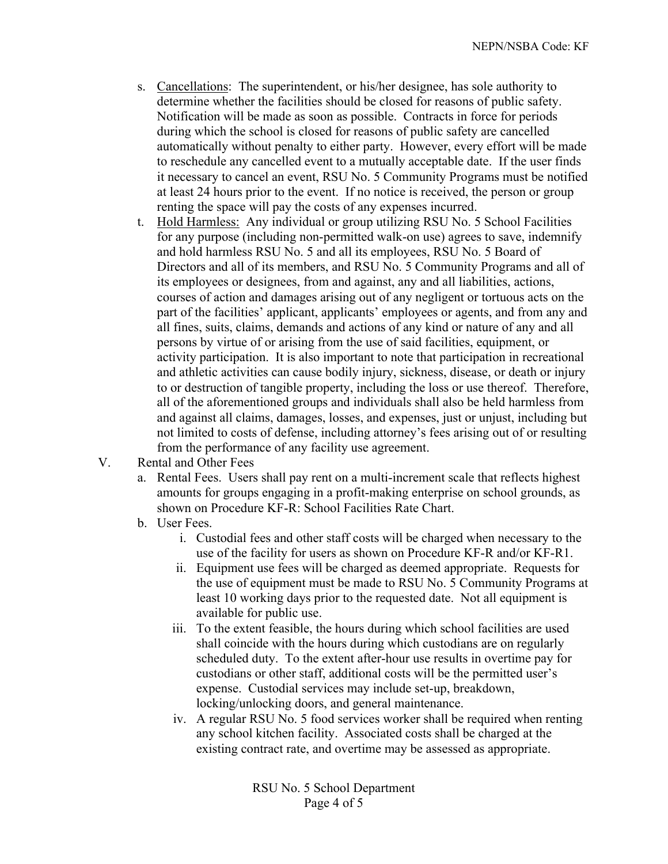- s. Cancellations: The superintendent, or his/her designee, has sole authority to determine whether the facilities should be closed for reasons of public safety. Notification will be made as soon as possible. Contracts in force for periods during which the school is closed for reasons of public safety are cancelled automatically without penalty to either party. However, every effort will be made to reschedule any cancelled event to a mutually acceptable date. If the user finds it necessary to cancel an event, RSU No. 5 Community Programs must be notified at least 24 hours prior to the event. If no notice is received, the person or group renting the space will pay the costs of any expenses incurred.
- t. Hold Harmless: Any individual or group utilizing RSU No. 5 School Facilities for any purpose (including non-permitted walk-on use) agrees to save, indemnify and hold harmless RSU No. 5 and all its employees, RSU No. 5 Board of Directors and all of its members, and RSU No. 5 Community Programs and all of its employees or designees, from and against, any and all liabilities, actions, courses of action and damages arising out of any negligent or tortuous acts on the part of the facilities' applicant, applicants' employees or agents, and from any and all fines, suits, claims, demands and actions of any kind or nature of any and all persons by virtue of or arising from the use of said facilities, equipment, or activity participation. It is also important to note that participation in recreational and athletic activities can cause bodily injury, sickness, disease, or death or injury to or destruction of tangible property, including the loss or use thereof. Therefore, all of the aforementioned groups and individuals shall also be held harmless from and against all claims, damages, losses, and expenses, just or unjust, including but not limited to costs of defense, including attorney's fees arising out of or resulting from the performance of any facility use agreement.
- V. Rental and Other Fees
	- a. Rental Fees. Users shall pay rent on a multi-increment scale that reflects highest amounts for groups engaging in a profit-making enterprise on school grounds, as shown on Procedure KF-R: School Facilities Rate Chart.
	- b. User Fees.
		- i. Custodial fees and other staff costs will be charged when necessary to the use of the facility for users as shown on Procedure KF-R and/or KF-R1.
		- ii. Equipment use fees will be charged as deemed appropriate. Requests for the use of equipment must be made to RSU No. 5 Community Programs at least 10 working days prior to the requested date. Not all equipment is available for public use.
		- iii. To the extent feasible, the hours during which school facilities are used shall coincide with the hours during which custodians are on regularly scheduled duty. To the extent after-hour use results in overtime pay for custodians or other staff, additional costs will be the permitted user's expense. Custodial services may include set-up, breakdown, locking/unlocking doors, and general maintenance.
		- iv. A regular RSU No. 5 food services worker shall be required when renting any school kitchen facility. Associated costs shall be charged at the existing contract rate, and overtime may be assessed as appropriate.